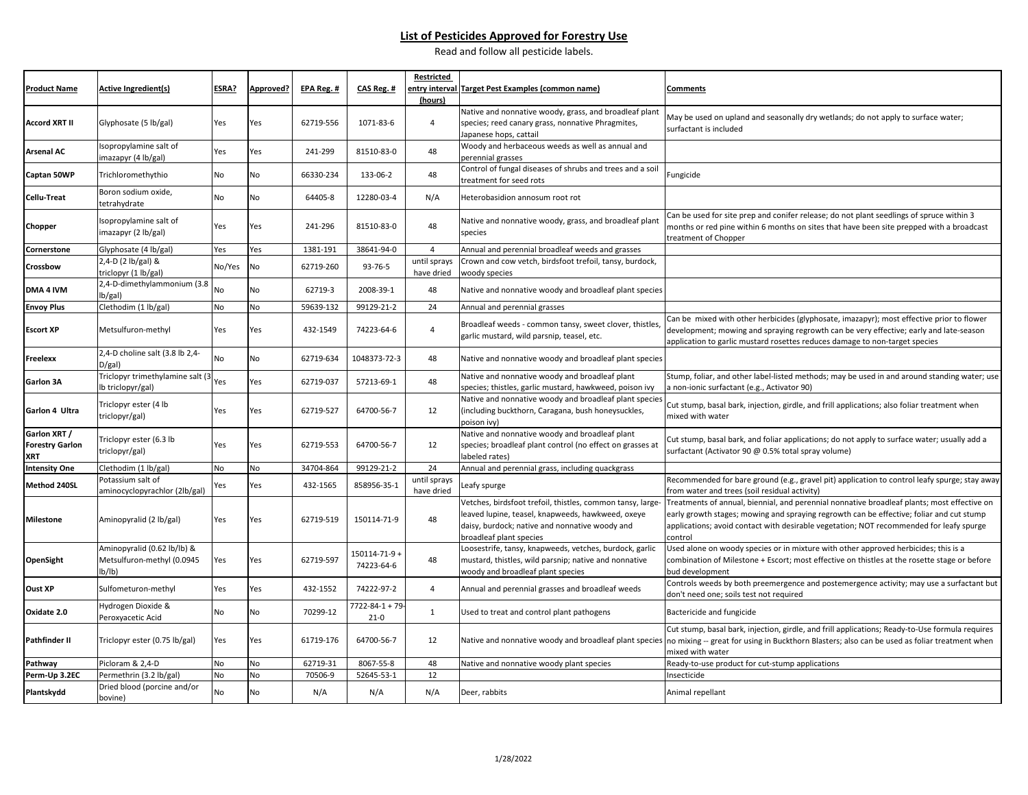#### **List of Pesticides Approved for Forestry Use**

Read and follow all pesticide labels.

| <b>Product Name</b>                           | <b>Active Ingredient(s)</b>                                         | ESRA?     | Approved? | EPA Reg. # | CAS Reg. #                 | <b>Restricted</b>          | entry interval Target Pest Examples (common name)                                                                                                                                            | <b>Comments</b>                                                                                                                                                                                                                                                                               |
|-----------------------------------------------|---------------------------------------------------------------------|-----------|-----------|------------|----------------------------|----------------------------|----------------------------------------------------------------------------------------------------------------------------------------------------------------------------------------------|-----------------------------------------------------------------------------------------------------------------------------------------------------------------------------------------------------------------------------------------------------------------------------------------------|
|                                               |                                                                     |           |           |            |                            | (hours)                    |                                                                                                                                                                                              |                                                                                                                                                                                                                                                                                               |
| Accord XRT II                                 | Glyphosate (5 lb/gal)                                               | Yes       | Yes       | 62719-556  | 1071-83-6                  | $\overline{4}$             | Native and nonnative woody, grass, and broadleaf plant<br>species; reed canary grass, nonnative Phragmites,<br>lapanese hops, cattail                                                        | May be used on upland and seasonally dry wetlands; do not apply to surface water;<br>surfactant is included                                                                                                                                                                                   |
| Arsenal AC                                    | Isopropylamine salt of<br>imazapyr (4 lb/gal)                       | Yes       | Yes       | 241-299    | 81510-83-0                 | 48                         | Woody and herbaceous weeds as well as annual and<br>perennial grasses                                                                                                                        |                                                                                                                                                                                                                                                                                               |
| Captan 50WP                                   | Trichloromethythio                                                  | No        | No        | 66330-234  | 133-06-2                   | 48                         | Control of fungal diseases of shrubs and trees and a soil<br>treatment for seed rots                                                                                                         | Fungicide                                                                                                                                                                                                                                                                                     |
| Cellu-Treat                                   | Boron sodium oxide,<br>tetrahydrate                                 | No        | No        | 64405-8    | 12280-03-4                 | N/A                        | Heterobasidion annosum root rot                                                                                                                                                              |                                                                                                                                                                                                                                                                                               |
| Chopper                                       | Isopropylamine salt of<br>imazapyr (2 lb/gal)                       | Yes       | Yes       | 241-296    | 81510-83-0                 | 48                         | Native and nonnative woody, grass, and broadleaf plant<br>species                                                                                                                            | Can be used for site prep and conifer release; do not plant seedlings of spruce within 3<br>months or red pine within 6 months on sites that have been site prepped with a broadcast<br>treatment of Chopper                                                                                  |
| Cornerstone                                   | Glyphosate (4 lb/gal)                                               | Yes       | Yes       | 1381-191   | 38641-94-0                 | $\overline{4}$             | Annual and perennial broadleaf weeds and grasses                                                                                                                                             |                                                                                                                                                                                                                                                                                               |
| Crossbow                                      | 2,4-D (2 lb/gal) &<br>triclopyr (1 lb/gal)                          | No/Yes    | No        | 62719-260  | 93-76-5                    | until sprays<br>have dried | Crown and cow vetch, birdsfoot trefoil, tansy, burdock,<br>woody species                                                                                                                     |                                                                                                                                                                                                                                                                                               |
| DMA 4 IVM                                     | 2,4-D-dimethylammonium (3.8<br>lb/gal)                              | No        | No        | 62719-3    | 2008-39-1                  | 48                         | Native and nonnative woody and broadleaf plant species                                                                                                                                       |                                                                                                                                                                                                                                                                                               |
| <b>Envoy Plus</b>                             | Clethodim (1 lb/gal)                                                | No        | No        | 59639-132  | 99129-21-2                 | 24                         | Annual and perennial grasses                                                                                                                                                                 |                                                                                                                                                                                                                                                                                               |
| <b>Escort XP</b>                              | Metsulfuron-methyl                                                  | Yes       | Yes       | 432-1549   | 74223-64-6                 | $\overline{4}$             | Broadleaf weeds - common tansy, sweet clover, thistles,<br>garlic mustard, wild parsnip, teasel, etc.                                                                                        | Can be mixed with other herbicides (glyphosate, imazapyr); most effective prior to flower<br>development; mowing and spraying regrowth can be very effective; early and late-season<br>application to garlic mustard rosettes reduces damage to non-target species                            |
| Freelexx                                      | 2,4-D choline salt (3.8 lb 2,4-<br>$D/gal$ )                        | No        | No        | 62719-634  | 1048373-72-3               | 48                         | Native and nonnative woody and broadleaf plant species                                                                                                                                       |                                                                                                                                                                                                                                                                                               |
| Garlon 3A                                     | Triclopyr trimethylamine salt (3<br>lb triclopyr/gal)               | Yes       | Yes       | 62719-037  | 57213-69-1                 | 48                         | Native and nonnative woody and broadleaf plant<br>species; thistles, garlic mustard, hawkweed, poison ivy                                                                                    | Stump, foliar, and other label-listed methods; may be used in and around standing water; use<br>non-ionic surfactant (e.g., Activator 90)                                                                                                                                                     |
| Garlon 4 Ultra                                | Triclopyr ester (4 lb<br>triclopyr/gal)                             | Yes       | Yes       | 62719-527  | 64700-56-7                 | 12                         | Native and nonnative woody and broadleaf plant species<br>(including buckthorn, Caragana, bush honeysuckles,<br>poison ivy)                                                                  | Cut stump, basal bark, injection, girdle, and frill applications; also foliar treatment when<br>mixed with water                                                                                                                                                                              |
| Garlon XRT /<br><b>Forestry Garlon</b><br>XRT | Triclopyr ester (6.3 lb<br>triclopyr/gal)                           | Yes       | Yes       | 62719-553  | 64700-56-7                 | 12                         | Native and nonnative woody and broadleaf plant<br>species; broadleaf plant control (no effect on grasses at<br>labeled rates)                                                                | Cut stump, basal bark, and foliar applications; do not apply to surface water; usually add a<br>surfactant (Activator 90 @ 0.5% total spray volume)                                                                                                                                           |
| <b>Intensity One</b>                          | Clethodim (1 lb/gal)                                                | No        | No        | 34704-864  | 99129-21-2                 | 24                         | Annual and perennial grass, including quackgrass                                                                                                                                             |                                                                                                                                                                                                                                                                                               |
| Method 240SL                                  | Potassium salt of<br>aminocyclopyrachlor (2lb/gal)                  | Yes       | Yes       | 432-1565   | 858956-35-1                | until sprays<br>have dried | Leafy spurge                                                                                                                                                                                 | Recommended for bare ground (e.g., gravel pit) application to control leafy spurge; stay away<br>from water and trees (soil residual activity)                                                                                                                                                |
| Milestone                                     | Aminopyralid (2 lb/gal)                                             | Yes       | Yes       | 62719-519  | 150114-71-9                | 48                         | Vetches, birdsfoot trefoil, thistles, common tansy, large-<br>leaved lupine, teasel, knapweeds, hawkweed, oxeye<br>daisy, burdock; native and nonnative woody and<br>broadleaf plant species | Treatments of annual, biennial, and perennial nonnative broadleaf plants; most effective on<br>early growth stages; mowing and spraying regrowth can be effective; foliar and cut stump<br>applications; avoid contact with desirable vegetation; NOT recommended for leafy spurge<br>control |
| OpenSight                                     | Aminopyralid (0.62 lb/lb) &<br>Metsulfuron-methyl (0.0945<br>lb/lb) | Yes       | Yes       | 62719-597  | 150114-71-9+<br>74223-64-6 | 48                         | Loosestrife, tansy, knapweeds, vetches, burdock, garlic<br>mustard, thistles, wild parsnip; native and nonnative<br>woody and broadleaf plant species                                        | Used alone on woody species or in mixture with other approved herbicides; this is a<br>combination of Milestone + Escort; most effective on thistles at the rosette stage or before<br>bud development                                                                                        |
| Oust XP                                       | Sulfometuron-methyl                                                 | Yes       | Yes       | 432-1552   | 74222-97-2                 | $\overline{4}$             | Annual and perennial grasses and broadleaf weeds                                                                                                                                             | Controls weeds by both preemergence and postemergence activity; may use a surfactant but<br>don't need one; soils test not required                                                                                                                                                           |
| Oxidate 2.0                                   | Hydrogen Dioxide &<br>Peroxyacetic Acid                             | <b>No</b> | <b>No</b> | 70299-12   | 7722-84-1 + 79<br>$21 - 0$ | $\mathbf{1}$               | Used to treat and control plant pathogens                                                                                                                                                    | Bactericide and fungicide                                                                                                                                                                                                                                                                     |
| Pathfinder II                                 | Triclopyr ester (0.75 lb/gal)                                       | Yes       | Yes       | 61719-176  | 64700-56-7                 | 12                         |                                                                                                                                                                                              | Cut stump, basal bark, injection, girdle, and frill applications; Ready-to-Use formula requires<br>Native and nonnative woody and broadleaf plant species no mixing -- great for using in Buckthorn Blasters; also can be used as foliar treatment when<br>mixed with water                   |
| Pathway                                       | Picloram & 2,4-D                                                    | No        | No        | 62719-31   | 8067-55-8                  | 48                         | Native and nonnative woody plant species                                                                                                                                                     | Ready-to-use product for cut-stump applications                                                                                                                                                                                                                                               |
| Perm-Up 3.2EC                                 | Permethrin (3.2 lb/gal)                                             | No        | No        | 70506-9    | 52645-53-1                 | 12                         |                                                                                                                                                                                              | nsecticide                                                                                                                                                                                                                                                                                    |
| Plantskydd                                    | Dried blood (porcine and/or<br>bovine)                              | No        | No        | N/A        | N/A                        | N/A                        | Deer, rabbits                                                                                                                                                                                | Animal repellant                                                                                                                                                                                                                                                                              |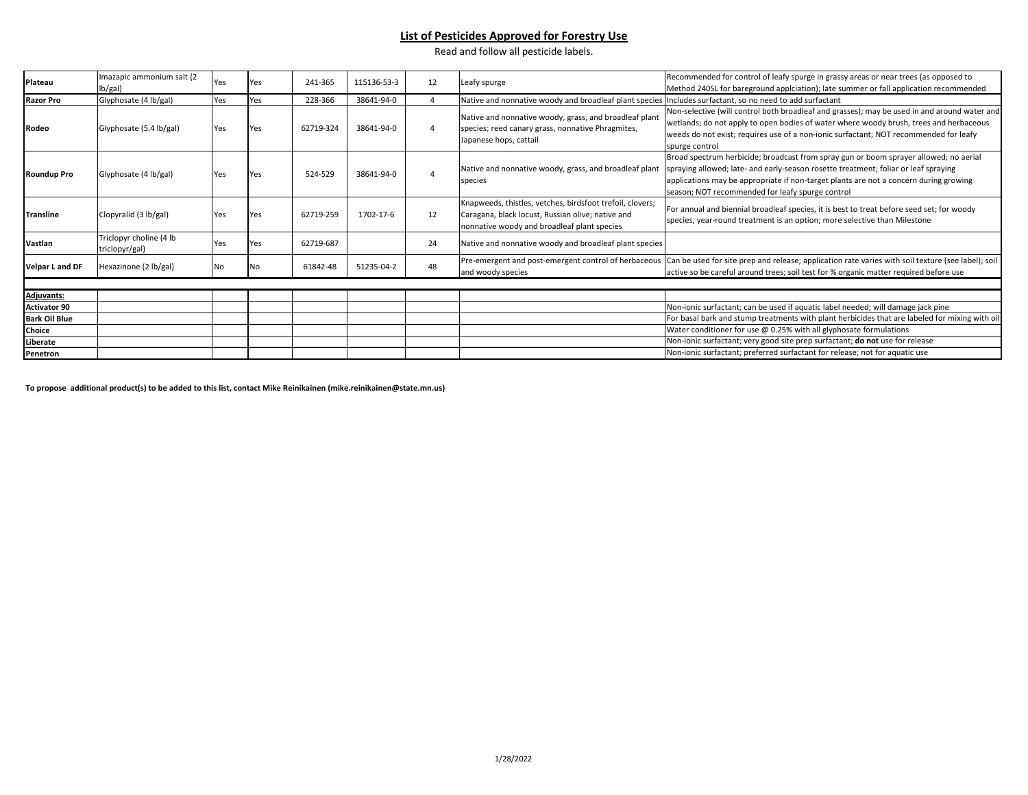#### **List of Pesticides Approved for Forestry Use**

Read and follow all pesticide labels.

| Plateau              | Imazapic ammonium salt (2<br>lb/gal)      | Yes | Yes | 241-365   | 115136-53-3 | 12 | Leafy spurge                                                                                                                                                  | Recommended for control of leafy spurge in grassy areas or near trees (as opposed to<br>Method 240SL for bareground applciation); late summer or fall application recommended                                                                                                                                             |
|----------------------|-------------------------------------------|-----|-----|-----------|-------------|----|---------------------------------------------------------------------------------------------------------------------------------------------------------------|---------------------------------------------------------------------------------------------------------------------------------------------------------------------------------------------------------------------------------------------------------------------------------------------------------------------------|
| <b>Razor Pro</b>     | Glyphosate (4 lb/gal)                     | Yes | Yes | 228-366   | 38641-94-0  |    | Native and nonnative woody and broadleaf plant species Includes surfactant, so no need to add surfactant                                                      |                                                                                                                                                                                                                                                                                                                           |
| Rodeo                | Glyphosate (5.4 lb/gal)                   | Yes | Yes | 62719-324 | 38641-94-0  |    | Native and nonnative woody, grass, and broadleaf plant<br>species; reed canary grass, nonnative Phragmites,<br>Japanese hops, cattail                         | Non-selective (will control both broadleaf and grasses); may be used in and around water and<br>wetlands; do not apply to open bodies of water where woody brush, trees and herbaceous<br>weeds do not exist; requires use of a non-ionic surfactant; NOT recommended for leafy<br>spurge control                         |
| <b>Roundup Pro</b>   | Glyphosate (4 lb/gal)                     | Yes | Yes | 524-529   | 38641-94-0  |    | Native and nonnative woody, grass, and broadleaf plant<br>species                                                                                             | Broad spectrum herbicide; broadcast from spray gun or boom sprayer allowed; no aerial<br>spraying allowed; late- and early-season rosette treatment; foliar or leaf spraying<br>applications may be appropriate if non-target plants are not a concern during growing<br>season; NOT recommended for leafy spurge control |
| Transline            | Clopyralid (3 lb/gal)                     | Yes | Yes | 62719-259 | 1702-17-6   | 12 | Knapweeds, thistles, vetches, birdsfoot trefoil, clovers;<br>Caragana, black locust, Russian olive; native and<br>nonnative woody and broadleaf plant species | For annual and biennial broadleaf species, it is best to treat before seed set; for woody<br>species, year-round treatment is an option; more selective than Milestone                                                                                                                                                    |
| Vastlan              | Triclopyr choline (4 lb<br>triclopyr/gal) | Yes | Yes | 62719-687 |             | 24 | Native and nonnative woody and broadleaf plant species                                                                                                        |                                                                                                                                                                                                                                                                                                                           |
| Velpar L and DF      | Hexazinone (2 lb/gal)                     | No  | No  | 61842-48  | 51235-04-2  | 48 | and woody species                                                                                                                                             | Pre-emergent and post-emergent control of herbaceous Can be used for site prep and release; application rate varies with soil texture (see label); soil<br>active so be careful around trees; soil test for % organic matter required before use                                                                          |
|                      |                                           |     |     |           |             |    |                                                                                                                                                               |                                                                                                                                                                                                                                                                                                                           |
| <b>Adjuvants:</b>    |                                           |     |     |           |             |    |                                                                                                                                                               |                                                                                                                                                                                                                                                                                                                           |
| <b>Activator 90</b>  |                                           |     |     |           |             |    |                                                                                                                                                               | Non-ionic surfactant; can be used if aquatic label needed; will damage jack pine                                                                                                                                                                                                                                          |
| <b>Bark Oil Blue</b> |                                           |     |     |           |             |    |                                                                                                                                                               | For basal bark and stump treatments with plant herbicides that are labeled for mixing with oil                                                                                                                                                                                                                            |
| Choice               |                                           |     |     |           |             |    |                                                                                                                                                               | Water conditioner for use @ 0.25% with all glyphosate formulations                                                                                                                                                                                                                                                        |
| Liberate             |                                           |     |     |           |             |    |                                                                                                                                                               | Non-ionic surfactant; very good site prep surfactant; do not use for release                                                                                                                                                                                                                                              |
| Penetron             |                                           |     |     |           |             |    |                                                                                                                                                               | Non-ionic surfactant; preferred surfactant for release; not for aquatic use                                                                                                                                                                                                                                               |

**To propose additional product(s) to be added to this list, contact Mike Reinikainen (mike.reinikainen@state.mn.us)**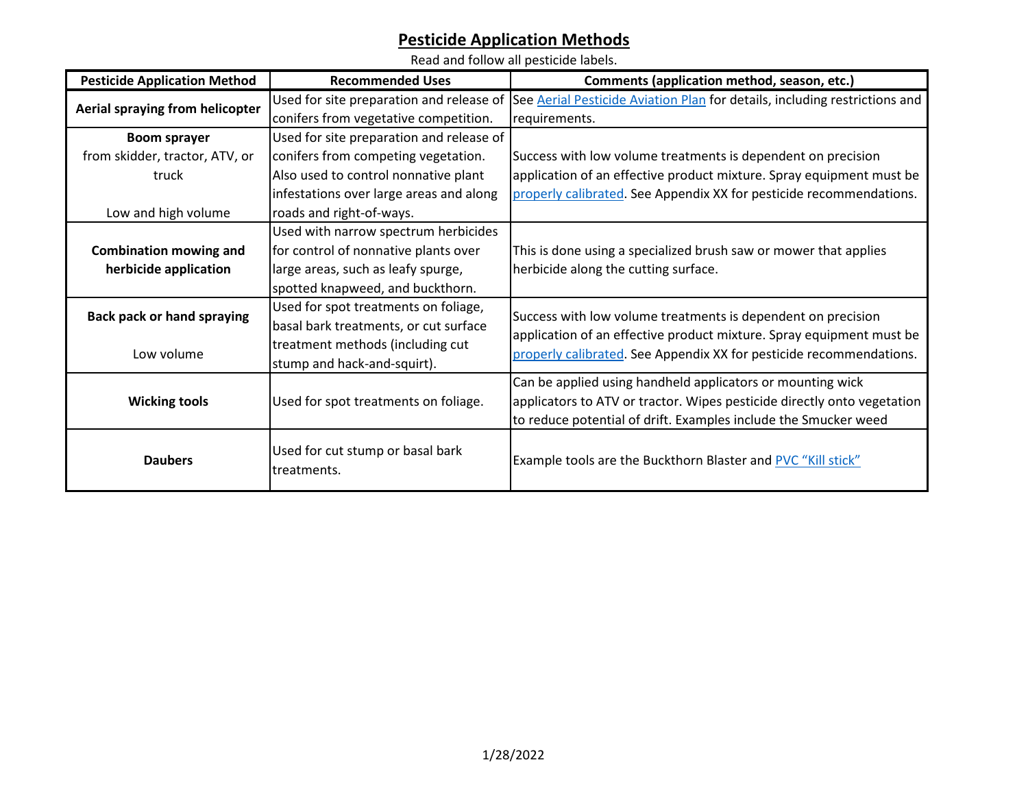# **Pesticide Application Methods**

Read and follow all pesticide labels.

| <b>Pesticide Application Method</b> | <b>Recommended Uses</b>                  | Comments (application method, season, etc.)                                                                         |  |  |
|-------------------------------------|------------------------------------------|---------------------------------------------------------------------------------------------------------------------|--|--|
| Aerial spraying from helicopter     |                                          | Used for site preparation and release of See Aerial Pesticide Aviation Plan for details, including restrictions and |  |  |
|                                     | conifers from vegetative competition.    | requirements.                                                                                                       |  |  |
| <b>Boom sprayer</b>                 | Used for site preparation and release of |                                                                                                                     |  |  |
| from skidder, tractor, ATV, or      | conifers from competing vegetation.      | Success with low volume treatments is dependent on precision                                                        |  |  |
| truck                               | Also used to control nonnative plant     | application of an effective product mixture. Spray equipment must be                                                |  |  |
|                                     | infestations over large areas and along  | properly calibrated. See Appendix XX for pesticide recommendations.                                                 |  |  |
| Low and high volume                 | roads and right-of-ways.                 |                                                                                                                     |  |  |
|                                     | Used with narrow spectrum herbicides     |                                                                                                                     |  |  |
| <b>Combination mowing and</b>       | for control of nonnative plants over     | This is done using a specialized brush saw or mower that applies                                                    |  |  |
| herbicide application               | large areas, such as leafy spurge,       | herbicide along the cutting surface.                                                                                |  |  |
|                                     | spotted knapweed, and buckthorn.         |                                                                                                                     |  |  |
| <b>Back pack or hand spraying</b>   | Used for spot treatments on foliage,     | Success with low volume treatments is dependent on precision                                                        |  |  |
|                                     | basal bark treatments, or cut surface    | application of an effective product mixture. Spray equipment must be                                                |  |  |
| Low volume                          | treatment methods (including cut         | properly calibrated. See Appendix XX for pesticide recommendations.                                                 |  |  |
|                                     | stump and hack-and-squirt).              |                                                                                                                     |  |  |
|                                     |                                          | Can be applied using handheld applicators or mounting wick                                                          |  |  |
| <b>Wicking tools</b>                | Used for spot treatments on foliage.     | applicators to ATV or tractor. Wipes pesticide directly onto vegetation                                             |  |  |
|                                     |                                          | to reduce potential of drift. Examples include the Smucker weed                                                     |  |  |
|                                     | Used for cut stump or basal bark         |                                                                                                                     |  |  |
| <b>Daubers</b>                      | treatments.                              | Example tools are the Buckthorn Blaster and PVC "Kill stick"                                                        |  |  |
|                                     |                                          |                                                                                                                     |  |  |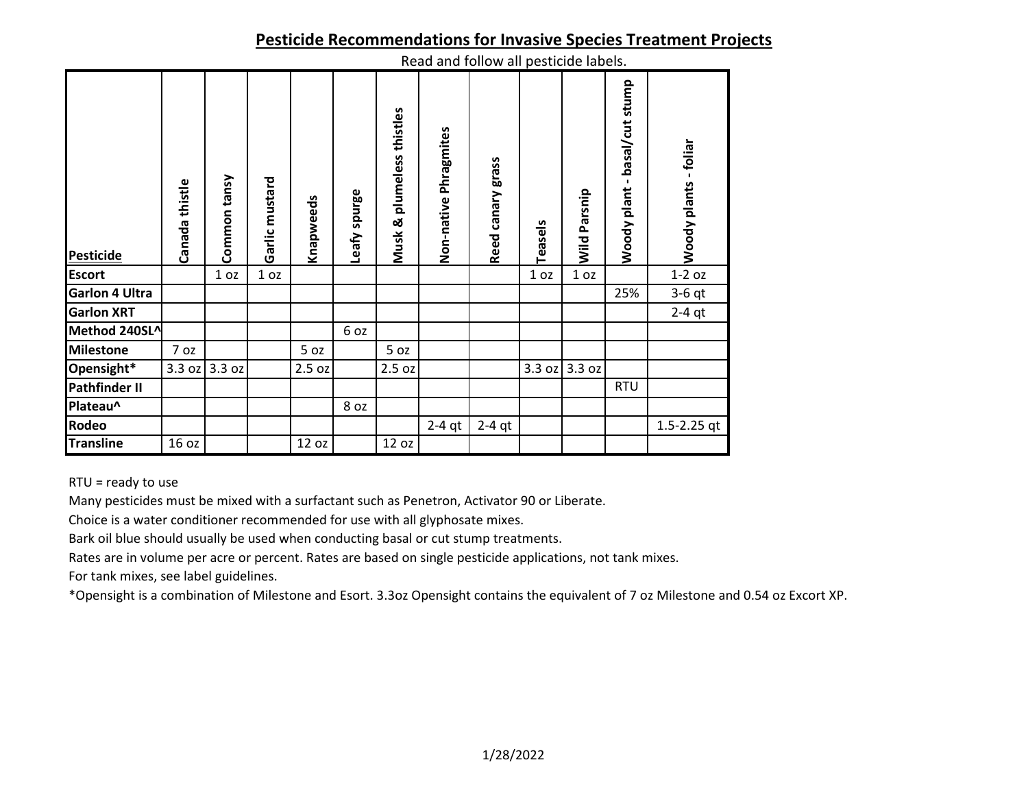#### **Pesticide Recommendations for Invasive Species Treatment Projects**

| <b>Pesticide</b>      | Canada thistle | Common tansy    | Garlic mustard  | Knapweeds | Leafy spurge | plumeless thistles<br>Musk & | nead and follow an pesticide labels.<br>Non-native Phragmites | Reed canary grass | Teasels         | Wild Parsnip    | basal/cut stump<br>$\mathbf{I}$<br>Woody plant | Woody plants - foliar |
|-----------------------|----------------|-----------------|-----------------|-----------|--------------|------------------------------|---------------------------------------------------------------|-------------------|-----------------|-----------------|------------------------------------------------|-----------------------|
| <b>Escort</b>         |                | 1 <sub>oz</sub> | 1 <sub>oz</sub> |           |              |                              |                                                               |                   | 1 <sub>oz</sub> | 1 <sub>oz</sub> |                                                | $1-2$ oz              |
| <b>Garlon 4 Ultra</b> |                |                 |                 |           |              |                              |                                                               |                   |                 |                 | 25%                                            | $3-6$ qt              |
| <b>Garlon XRT</b>     |                |                 |                 |           |              |                              |                                                               |                   |                 |                 |                                                | $2-4$ qt              |
| Method 240SL^         |                |                 |                 |           | 6 oz         |                              |                                                               |                   |                 |                 |                                                |                       |
| <b>Milestone</b>      | 7 oz           |                 |                 | 5 oz      |              | 5 oz                         |                                                               |                   |                 |                 |                                                |                       |
| Opensight*            | 3.3 oz         | 3.3 oz          |                 | 2.5 oz    |              | 2.5 oz                       |                                                               |                   | 3.3 oz          | 3.3 oz          |                                                |                       |
| <b>Pathfinder II</b>  |                |                 |                 |           |              |                              |                                                               |                   |                 |                 | <b>RTU</b>                                     |                       |
| Plateau^              |                |                 |                 |           | 8 oz         |                              |                                                               |                   |                 |                 |                                                |                       |
| Rodeo                 |                |                 |                 |           |              |                              | $2-4$ qt                                                      | $2-4$ qt          |                 |                 |                                                | $1.5 - 2.25$ qt       |
| <b>Transline</b>      | 16 oz          |                 |                 | 12 oz     |              | 12 oz                        |                                                               |                   |                 |                 |                                                |                       |

### Read and follow all pesticide labels.

RTU = ready to use

Many pesticides must be mixed with a surfactant such as Penetron, Activator 90 or Liberate.

Choice is a water conditioner recommended for use with all glyphosate mixes.

Bark oil blue should usually be used when conducting basal or cut stump treatments.

Rates are in volume per acre or percent. Rates are based on single pesticide applications, not tank mixes.

For tank mixes, see label guidelines.

\*Opensight is a combination of Milestone and Esort. 3.3oz Opensight contains the equivalent of 7 oz Milestone and 0.54 oz Excort XP.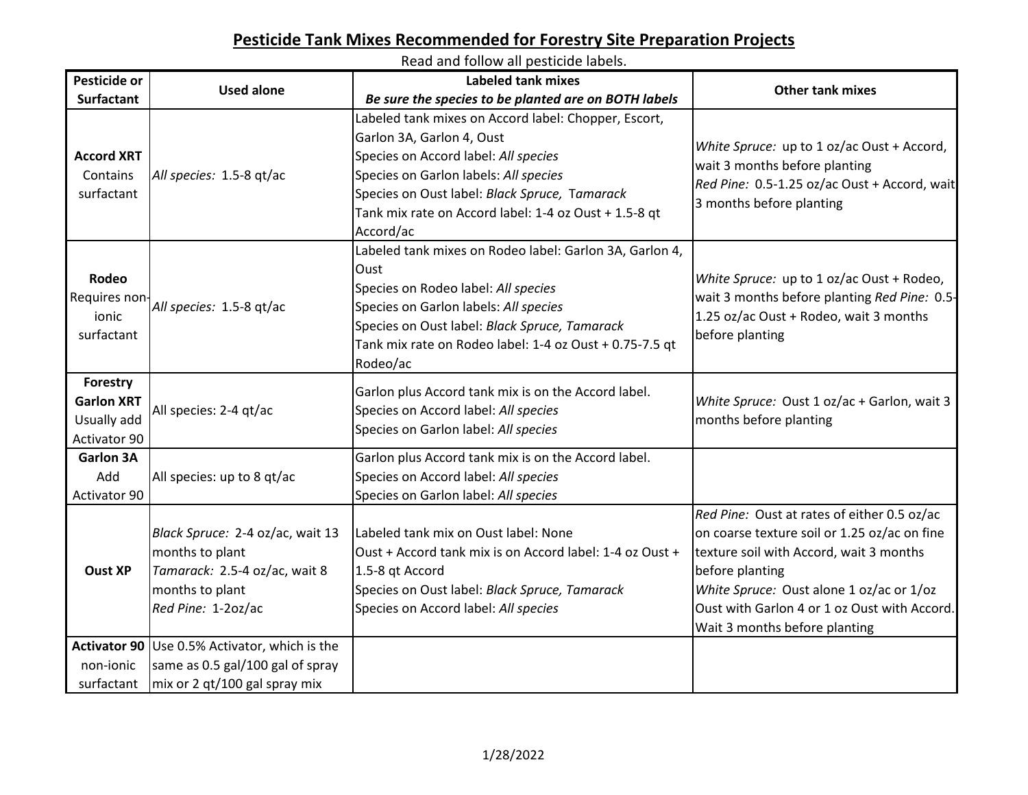### **Pesticide Tank Mixes Recommended for Forestry Site Preparation Projects**

Read and follow all pesticide labels. **Pesticide or Surfactant Used alone Labeled tank mixes**  *Be sure the species to be planted are on BOTH labels* **Other tank mixes Accord XRT Contains** surfactant *All species:* 1.5-8 qt/ac Labeled tank mixes on Accord label: Chopper, Escort, Garlon 3A, Garlon 4, Oust Species on Accord label: *All species* Species on Garlon labels: *All species* Species on Oust label: *Black Spruce,* T*amarack* Tank mix rate on Accord label: 1-4 oz Oust + 1.5-8 qt Accord/ac *White Spruce:* up to 1 oz/ac Oust + Accord, wait 3 months before planting *Red Pine:* 0.5-1.25 oz/ac Oust + Accord, wait 3 months before planting **Rodeo** Requires nonionic surfactant *All species:* 1.5-8 qt/ac Labeled tank mixes on Rodeo label: Garlon 3A, Garlon 4, **Oust** Species on Rodeo label: *All species* Species on Garlon labels: *All species* Species on Oust label: *Black Spruce, Tamarack* Tank mix rate on Rodeo label: 1-4 oz Oust + 0.75-7.5 qt Rodeo/ac *White Spruce:* up to 1 oz/ac Oust + Rodeo, wait 3 months before planting *Red Pine:* 0.5- 1.25 oz/ac Oust + Rodeo, wait 3 months before planting **Forestry Garlon XRT** Usually add Activator 90 All species: 2-4 qt/ac Garlon plus Accord tank mix is on the Accord label. Species on Accord label: *All species* Species on Garlon label: *All species White Spruce:* Oust 1 oz/ac + Garlon, wait 3 months before planting **Garlon 3A** Add Activator 90 All species: up to 8 qt/ac Garlon plus Accord tank mix is on the Accord label. Species on Accord label: *All species* Species on Garlon label: *All species* **Oust XP** *Black Spruce:* 2-4 oz/ac, wait 13 months to plant *Tamarack:* 2.5-4 oz/ac, wait 8 months to plant *Red Pine:* 1-2oz/ac Labeled tank mix on Oust label: None Oust + Accord tank mix is on Accord label: 1-4 oz Oust + 1.5-8 qt Accord Species on Oust label: *Black Spruce, Tamarack* Species on Accord label: *All species Red Pine:* Oust at rates of either 0.5 oz/ac on coarse texture soil or 1.25 oz/ac on fine texture soil with Accord, wait 3 months before planting *White Spruce:* Oust alone 1 oz/ac or 1/oz Oust with Garlon 4 or 1 oz Oust with Accord. Wait 3 months before planting **Activator 90** Use 0.5% Activator, which is the non-ionic surfactant same as 0.5 gal/100 gal of spray mix or 2 qt/100 gal spray mix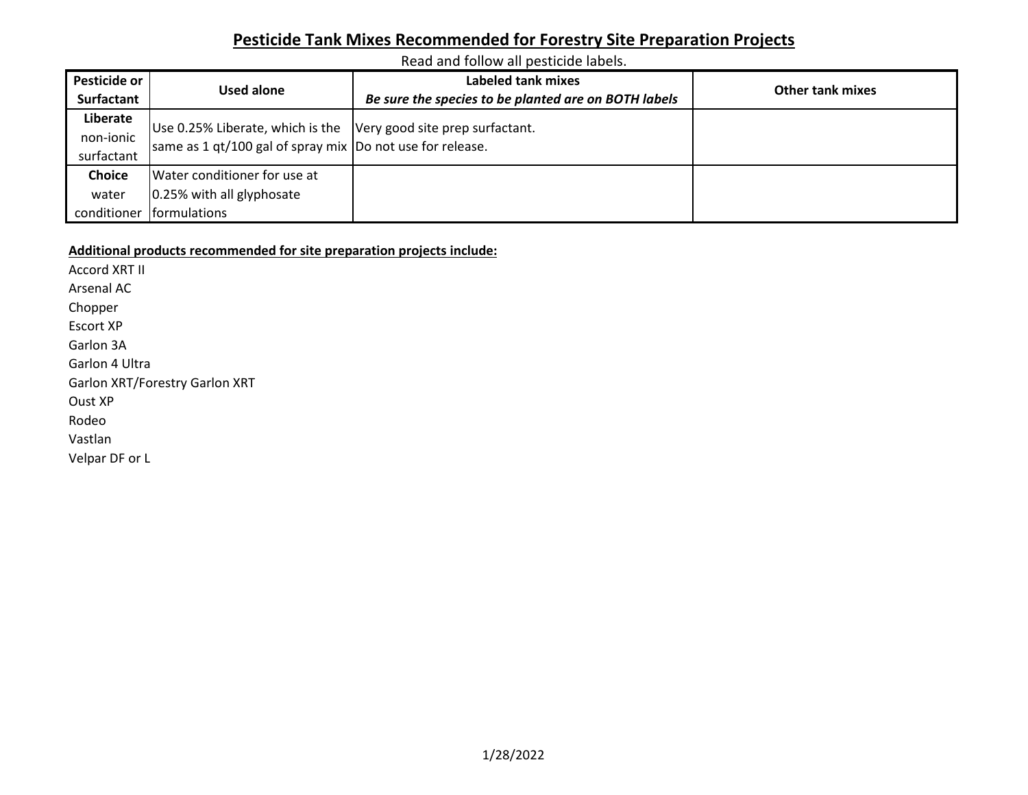## **Pesticide Tank Mixes Recommended for Forestry Site Preparation Projects**

Read and follow all pesticide labels.

| Pesticide or  |                                                                  | Labeled tank mixes                                   | <b>Other tank mixes</b> |  |  |
|---------------|------------------------------------------------------------------|------------------------------------------------------|-------------------------|--|--|
| Surfactant    | Used alone                                                       | Be sure the species to be planted are on BOTH labels |                         |  |  |
| Liberate      | Use 0.25% Liberate, which is the Very good site prep surfactant. |                                                      |                         |  |  |
| non-ionic     |                                                                  |                                                      |                         |  |  |
| surfactant    | same as 1 qt/100 gal of spray mix  Do not use for release.       |                                                      |                         |  |  |
| <b>Choice</b> | Water conditioner for use at                                     |                                                      |                         |  |  |
| water         | 0.25% with all glyphosate                                        |                                                      |                         |  |  |
| conditioner   | formulations                                                     |                                                      |                         |  |  |

#### **Additional products recommended for site preparation projects include:**

Accord XRT II Arsenal AC Chopper Escort XP Garlon 3A Garlon 4 Ultra Garlon XRT/Forestry Garlon XRT Oust XP Rodeo Vastlan Velpar DF or L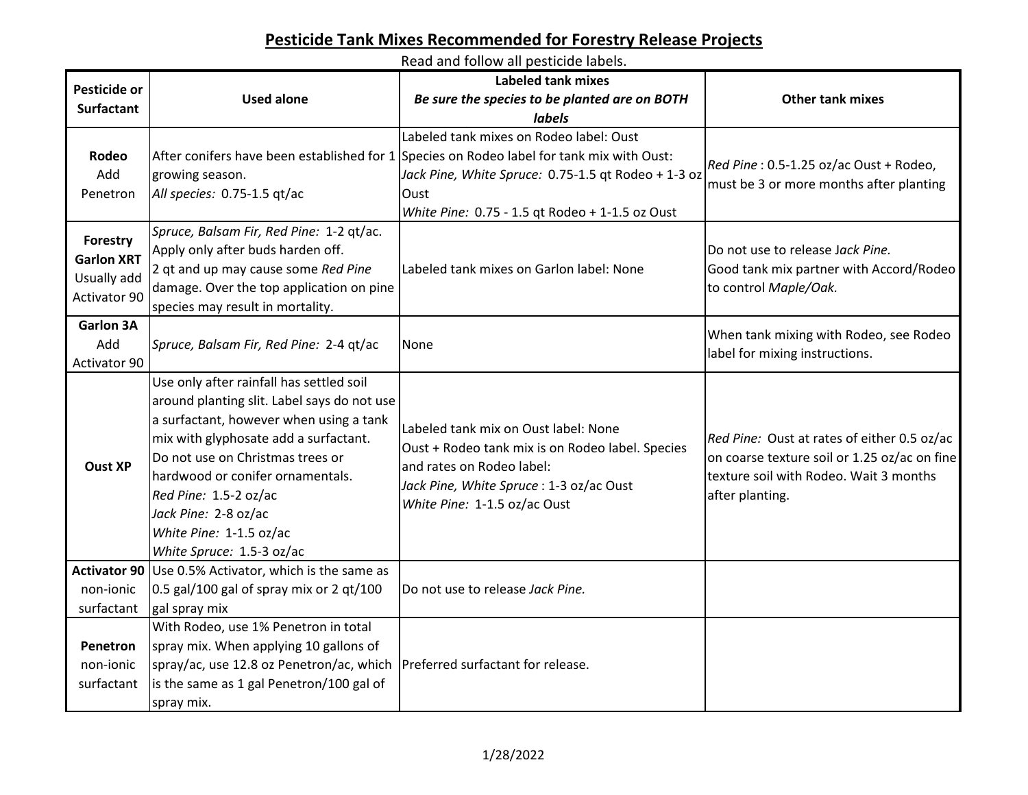# **Pesticide Tank Mixes Recommended for Forestry Release Projects**

Read and follow all pesticide labels.

| Pesticide or                                                 | <b>Used alone</b>                                                                                                                                                                                                                                                                                                                                            | <b>Labeled tank mixes</b><br>Be sure the species to be planted are on BOTH                                                                                                                                                                             | <b>Other tank mixes</b>                                                                                                                                  |
|--------------------------------------------------------------|--------------------------------------------------------------------------------------------------------------------------------------------------------------------------------------------------------------------------------------------------------------------------------------------------------------------------------------------------------------|--------------------------------------------------------------------------------------------------------------------------------------------------------------------------------------------------------------------------------------------------------|----------------------------------------------------------------------------------------------------------------------------------------------------------|
| <b>Surfactant</b>                                            |                                                                                                                                                                                                                                                                                                                                                              | <b>labels</b>                                                                                                                                                                                                                                          |                                                                                                                                                          |
| Rodeo<br>Add<br>Penetron                                     | growing season.<br>All species: 0.75-1.5 qt/ac                                                                                                                                                                                                                                                                                                               | Labeled tank mixes on Rodeo label: Oust<br>After conifers have been established for 1 Species on Rodeo label for tank mix with Oust:<br>Jack Pine, White Spruce: 0.75-1.5 qt Rodeo + 1-3 oz<br>Oust<br>White Pine: 0.75 - 1.5 qt Rodeo + 1-1.5 oz Oust | Red Pine: 0.5-1.25 oz/ac Oust + Rodeo,<br>must be 3 or more months after planting                                                                        |
| Forestry<br><b>Garlon XRT</b><br>Usually add<br>Activator 90 | Spruce, Balsam Fir, Red Pine: 1-2 qt/ac.<br>Apply only after buds harden off.<br>2 qt and up may cause some Red Pine<br>damage. Over the top application on pine<br>species may result in mortality.                                                                                                                                                         | Labeled tank mixes on Garlon label: None                                                                                                                                                                                                               | Do not use to release Jack Pine.<br>Good tank mix partner with Accord/Rodeo<br>to control Maple/Oak.                                                     |
| <b>Garlon 3A</b><br>Add<br>Activator 90                      | Spruce, Balsam Fir, Red Pine: 2-4 qt/ac                                                                                                                                                                                                                                                                                                                      | None                                                                                                                                                                                                                                                   | When tank mixing with Rodeo, see Rodeo<br>label for mixing instructions.                                                                                 |
| <b>Oust XP</b>                                               | Use only after rainfall has settled soil<br>around planting slit. Label says do not use<br>a surfactant, however when using a tank<br>mix with glyphosate add a surfactant.<br>Do not use on Christmas trees or<br>hardwood or conifer ornamentals.<br>Red Pine: 1.5-2 oz/ac<br>Jack Pine: 2-8 oz/ac<br>White Pine: 1-1.5 oz/ac<br>White Spruce: 1.5-3 oz/ac | Labeled tank mix on Oust label: None<br>Oust + Rodeo tank mix is on Rodeo label. Species<br>and rates on Rodeo label:<br>Jack Pine, White Spruce: 1-3 oz/ac Oust<br>White Pine: 1-1.5 oz/ac Oust                                                       | Red Pine: Oust at rates of either 0.5 oz/ac<br>on coarse texture soil or 1.25 oz/ac on fine<br>texture soil with Rodeo. Wait 3 months<br>after planting. |
| non-ionic<br>surfactant                                      | Activator 90 Use 0.5% Activator, which is the same as<br>$0.5$ gal/100 gal of spray mix or 2 qt/100<br>gal spray mix                                                                                                                                                                                                                                         | Do not use to release Jack Pine.                                                                                                                                                                                                                       |                                                                                                                                                          |
| Penetron<br>non-ionic<br>surfactant                          | With Rodeo, use 1% Penetron in total<br>spray mix. When applying 10 gallons of<br>spray/ac, use 12.8 oz Penetron/ac, which   Preferred surfactant for release.<br>is the same as 1 gal Penetron/100 gal of<br>spray mix.                                                                                                                                     |                                                                                                                                                                                                                                                        |                                                                                                                                                          |